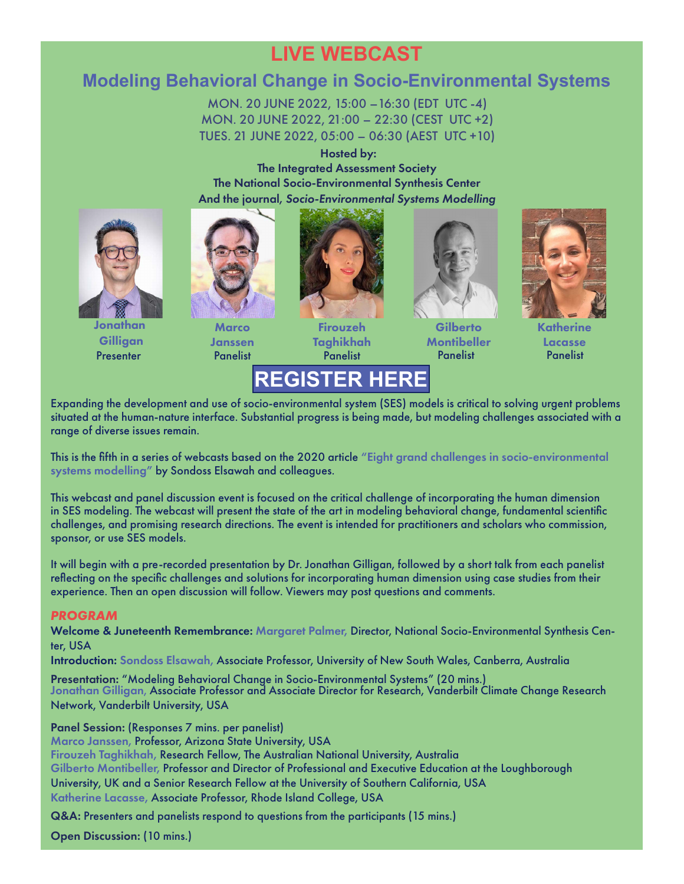# **LIVE WEBCAST**

# **Modeling Behavioral Change in Socio-Environmental Systems**

MON. 20 JUNE 2022, 15:00 –16:30 (EDT UTC -4) MON. 20 JUNE 2022, 21:00 – 22:30 (CEST UTC +2) TUES. 21 JUNE 2022, 05:00 – 06:30 (AEST UTC +10)

Hosted by:

The Integrated Assessment Society The National Socio-Environmental Synthesis Center

And the journal, *Socio-Environmental Systems Modelling*



Jonathan **Gilligan** Presenter



**Marco** Janssen



Firouzeh Taghikhah

Gilberto **Montibeller** Panelist Panelist Panelist Panelist



Katherine Lacasse

# REGISTER HERE **[REGISTER HERE](https://umd.zoom.us/meeting/register/tJIufuurrjwvGdJ1RVE3oSSKC6BmCXFgVWnr)**

Expanding the development and use of socio-environmental system (SES) models is critical to solving urgent problems situated at the human-nature interface. Substantial progress is being made, but modeling challenges associated with a range of diverse issues remain.

This is the fifth in a series of webcasts based on the 2020 article "[Eight grand challenges in socio-environmental](https://doi.org/10.18174/sesmo.2020a16226)  [systems modelling](https://doi.org/10.18174/sesmo.2020a16226)" by Sondoss Elsawah and colleagues.

This webcast and panel discussion event is focused on the critical challenge of incorporating the human dimension in SES modeling. The webcast will present the state of the art in modeling behavioral change, fundamental scientific challenges, and promising research directions. The event is intended for practitioners and scholars who commission, sponsor, or use SES models.

It will begin with a pre-recorded presentation by Dr. Jonathan Gilligan, followed by a short talk from each panelist reflecting on the specific challenges and solutions for incorporating human dimension using case studies from their experience. Then an open discussion will follow. Viewers may post questions and comments.

### *PROGRAM*

Welcome & Juneteenth Remembrance: [Margaret Palmer,](https://palmerlab.umd.edu/team/mpalmer/) Director, National Socio-Environmental Synthesis Center, USA

Introduction: [Sondoss Elsawah,](https://www.unsw.adfa.edu.au/sondoss-el-sawah) Associate Professor, University of New South Wales, Canberra, Australia

Presentation: "Modeling Behavioral Change in Socio-Environmental Systems" (20 mins.)<br>[Jonathan Gilligan](#page-1-0), Associate Professor and Associate Director for Research, Vanderbilt Climate Change Research Network, Vanderbilt University, USA

Panel Session: (Responses 7 mins. per panelist)

[Marco Janssen,](#page-1-0) Professor, Arizona State University, USA

[Firouzeh Taghikhah,](#page-1-0) Research Fellow, The Australian National University, Australia

[Gilberto Montibeller,](#page-1-0) Professor and Director of Professional and Executive Education at the Loughborough

University, UK and a Senior Research Fellow at the University of Southern California, USA

[Katherine Lacasse,](#page-1-0) Associate Professor, Rhode Island College, USA

Q&A: Presenters and panelists respond to questions from the participants (15 mins.)

Open Discussion: (10 mins.)